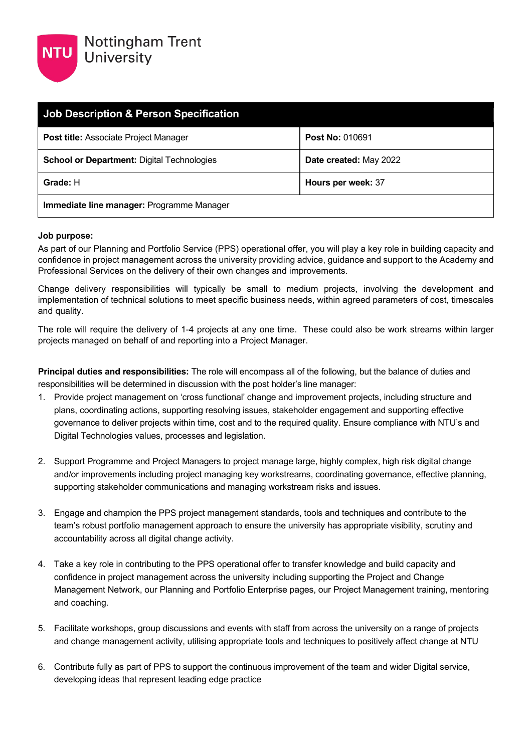| <b>Job Description &amp; Person Specification</b> |                        |  |
|---------------------------------------------------|------------------------|--|
| <b>Post title: Associate Project Manager</b>      | <b>Post No: 010691</b> |  |
| <b>School or Department: Digital Technologies</b> | Date created: May 2022 |  |
| Grade: H                                          | Hours per week: 37     |  |
| Immediate line manager: Programme Manager         |                        |  |

## **Job purpose:**

As part of our Planning and Portfolio Service (PPS) operational offer, you will play a key role in building capacity and confidence in project management across the university providing advice, guidance and support to the Academy and Professional Services on the delivery of their own changes and improvements.

Change delivery responsibilities will typically be small to medium projects, involving the development and implementation of technical solutions to meet specific business needs, within agreed parameters of cost, timescales and quality.

The role will require the delivery of 1-4 projects at any one time. These could also be work streams within larger projects managed on behalf of and reporting into a Project Manager.

**Principal duties and responsibilities:** The role will encompass all of the following, but the balance of duties and responsibilities will be determined in discussion with the post holder's line manager:

- 1. Provide project management on 'cross functional' change and improvement projects, including structure and plans, coordinating actions, supporting resolving issues, stakeholder engagement and supporting effective governance to deliver projects within time, cost and to the required quality. Ensure compliance with NTU's and Digital Technologies values, processes and legislation.
- 2. Support Programme and Project Managers to project manage large, highly complex, high risk digital change and/or improvements including project managing key workstreams, coordinating governance, effective planning, supporting stakeholder communications and managing workstream risks and issues.
- 3. Engage and champion the PPS project management standards, tools and techniques and contribute to the team's robust portfolio management approach to ensure the university has appropriate visibility, scrutiny and accountability across all digital change activity.
- 4. Take a key role in contributing to the PPS operational offer to transfer knowledge and build capacity and confidence in project management across the university including supporting the Project and Change Management Network, our Planning and Portfolio Enterprise pages, our Project Management training, mentoring and coaching.
- 5. Facilitate workshops, group discussions and events with staff from across the university on a range of projects and change management activity, utilising appropriate tools and techniques to positively affect change at NTU
- 6. Contribute fully as part of PPS to support the continuous improvement of the team and wider Digital service, developing ideas that represent leading edge practice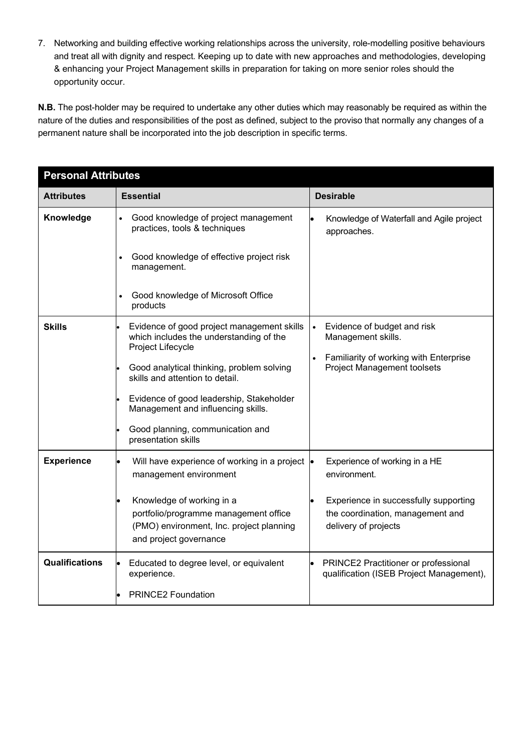7. Networking and building effective working relationships across the university, role-modelling positive behaviours and treat all with dignity and respect. Keeping up to date with new approaches and methodologies, developing & enhancing your Project Management skills in preparation for taking on more senior roles should the opportunity occur.

**N.B.** The post-holder may be required to undertake any other duties which may reasonably be required as within the nature of the duties and responsibilities of the post as defined, subject to the proviso that normally any changes of a permanent nature shall be incorporated into the job description in specific terms.

| <b>Personal Attributes</b> |                                                                                                                                          |                                                                                                                                                |  |
|----------------------------|------------------------------------------------------------------------------------------------------------------------------------------|------------------------------------------------------------------------------------------------------------------------------------------------|--|
| <b>Attributes</b>          | <b>Essential</b>                                                                                                                         | <b>Desirable</b>                                                                                                                               |  |
| Knowledge                  | $\bullet$<br>Good knowledge of project management<br>practices, tools & techniques<br>approaches.                                        | Knowledge of Waterfall and Agile project                                                                                                       |  |
|                            | Good knowledge of effective project risk<br>$\bullet$<br>management.                                                                     |                                                                                                                                                |  |
|                            | Good knowledge of Microsoft Office<br>$\bullet$<br>products                                                                              |                                                                                                                                                |  |
| <b>Skills</b>              | Evidence of good project management skills<br>which includes the understanding of the<br>Project Lifecycle                               | Evidence of budget and risk<br>Management skills.<br>Familiarity of working with Enterprise<br>$\bullet$<br><b>Project Management toolsets</b> |  |
|                            | Good analytical thinking, problem solving<br>skills and attention to detail.                                                             |                                                                                                                                                |  |
|                            | Evidence of good leadership, Stakeholder<br>Management and influencing skills.                                                           |                                                                                                                                                |  |
|                            | Good planning, communication and<br>presentation skills                                                                                  |                                                                                                                                                |  |
| <b>Experience</b>          | Will have experience of working in a project $\bullet$<br>management environment                                                         | Experience of working in a HE<br>environment.                                                                                                  |  |
|                            | Knowledge of working in a<br>portfolio/programme management office<br>(PMO) environment, Inc. project planning<br>and project governance | Experience in successfully supporting<br>the coordination, management and<br>delivery of projects                                              |  |
| <b>Qualifications</b>      | Educated to degree level, or equivalent<br>experience.                                                                                   | PRINCE2 Practitioner or professional<br>qualification (ISEB Project Management),                                                               |  |
|                            | <b>PRINCE2 Foundation</b>                                                                                                                |                                                                                                                                                |  |